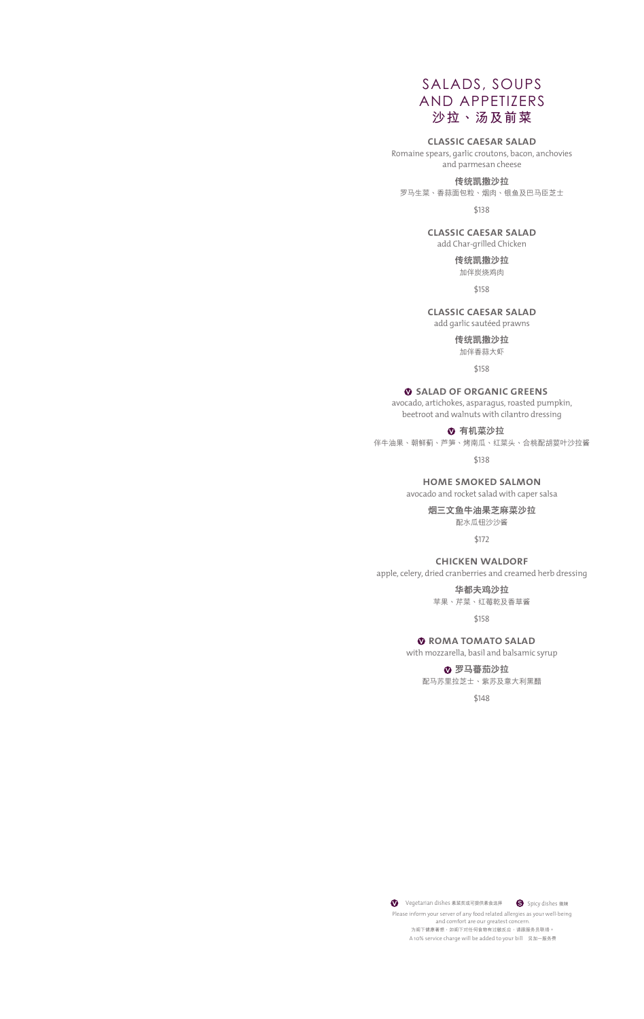# SALADS, SOUPS AND APPETIZERS **沙拉、湯及前菜**

# **classic caesar salad**

Romaine spears, garlic croutons, bacon, anchovies and parmesan cheese

#### **傳統凱撒沙拉**

罗马生菜、香蒜面包粒、烟肉、银鱼及巴马臣芝士

\$138

### **classic caesar salad**

add Char-grilled Chicken

**傳統凱撒沙拉**

加伴炭燒雞肉

\$158

## **classic caesar salad**

add garlic sautéed prawns

**傳統凱撒沙拉**

加伴香蒜大蝦

\$158

### **salad of organic greens**

avocado, artichokes, asparagus, roasted pumpkin, beetroot and walnuts with cilantro dressing

**<sup>3</sup>**有机菜沙拉

伴牛油果、朝鲜蓟、芦笋、烤南瓜、红菜头、合桃配胡荽叶沙拉酱

\$138

# **home smoked salmon**

avocado and rocket salad with caper salsa

**煙三文魚牛油果芝麻菜沙拉**

### 配水瓜鈕沙沙醬

\$172

### **chicken waldorf**

apple, celery, dried cranberries and creamed herb dressing

**華都夫雞沙拉** 蘋果、芹菜、紅莓乾及香草醬

\$158

# **roma tomato salad**

with mozzarella, basil and balsamic syrup

**<sup>8</sup> 罗马蕃茄沙拉** 配馬蘇裡拉芝士、紫蘇及意大利黑醋

\$148

A 10% service charge will be added to your bill 另加一服務費 Please inform your server of any food related allergies as your well-being and comfort are our greatest concern. 为阁下健康著想,如阁下对任何食物有过敏反应,请跟服务员联络。 **◆** Vegetarian dishes 素菜类或可提供素食选择 ● Spicy dishes 微辣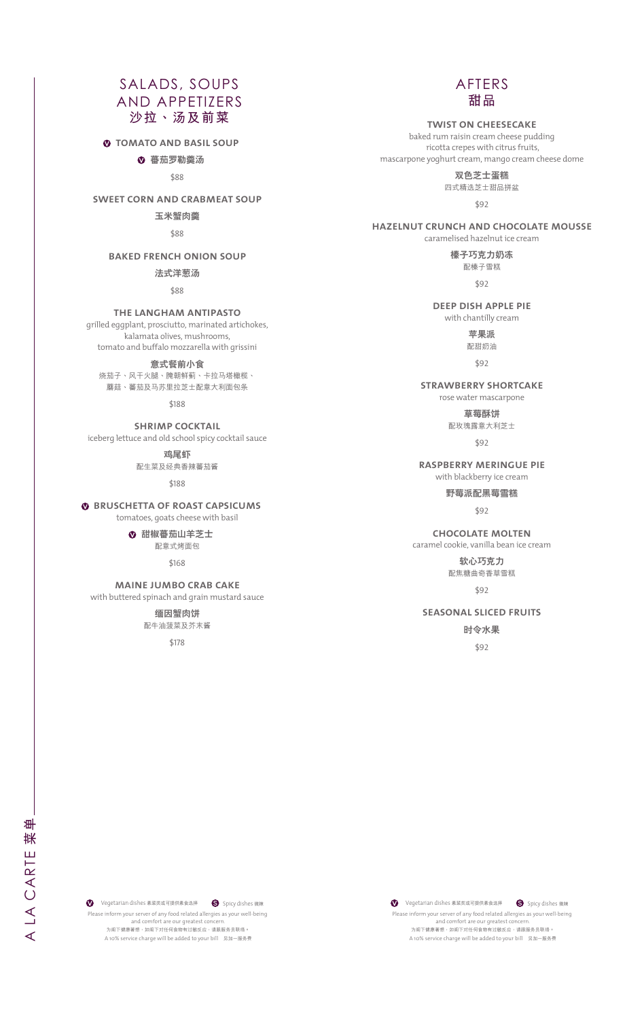# SALADS, SOUPS AND APPETIZERS **沙拉、湯及前菜**

 $\bullet$  **TOMATO AND BASIL SOUP** 

**<sup>8</sup>** 蕃茄罗勒羹汤

\$88

### **sweet corn and crabmeat soup**

**玉米蟹肉羹**

\$88

# **baked french onion soup**

**法式洋蔥湯**

#### \$88

### **the langham antipasto**

grilled eggplant, prosciutto, marinated artichokes, kalamata olives, mushrooms, tomato and buffalo mozzarella with grissini

**意式餐前小食**

# 燒茄子、風干火腿、醃朝鮮薊、卡拉馬塔橄欖、 蘑菇、蕃茄及马苏里拉芝士配意大利面包条

\$188

## **shrimp cocktail** iceberg lettuce and old school spicy cocktail sauce

**雞尾蝦** 配生菜及經典香辣蕃茄醬

\$188

# **BRUSCHETTA OF ROAST CAPSICUMS**

tomatoes, goats cheese with basil

**甜椒蕃茄山羊芝士** 配意式烤麵包

\$168

### **maine jumbo crab cake** with buttered spinach and grain mustard sauce

**緬因蟹肉餅** 配牛油菠菜及芥末醬

\$178

# AFTERS **甜品**

### **twist on cheesecake**

baked rum raisin cream cheese pudding ricotta crepes with citrus fruits, mascarpone yoghurt cream, mango cream cheese dome

> **雙色芝士蛋糕** 四式精選芝士甜品拼盆

\$92

# **hazelnut crunch and chocolate mousse**

caramelised hazelnut ice cream

**榛子巧克力奶凍** 配榛子雪糕

\$92

### **deep dish apple pie**  with chantilly cream

**蘋果派**

配甜奶油

\$92

### **strawberry shortcake**  rose water mascarpone

**草莓酥餅**

配玫瑰露意大利芝士

\$92

### **raspberry meringue pie**  with blackberry ice cream

**野莓派配黑莓雪糕** 

\$92

### **chocolate molten** caramel cookie, vanilla bean ice cream

**軟心巧克力** 配焦糖曲奇香草雪糕

\$92

# **seasonal sliced fruits**

**時令水果**

\$92

A LA CARTE **菜單**  脒 A LA CARTE

毌

A 10% service charge will be added to your bill 另加一服務費 Please inform your server of any food related allergies as your well-being and comfort are our greatest concern. ,<br>为阁下健康著想,如阁下对任何食物有过敏反应,请跟服务员联络。 **◆** Vegetarian dishes 素菜类或可提供素食选择 ● Spicy dishes 微辣

A 10% service charge will be added to your bill 另加一服務費 Please inform your server of any food related allergies as your well-being and comfort are our greatest concern. 。<br>为阁下健康著想,如阁下对任何食物有过敏反应,请跟服务员联络。 Vegetarian dishes 素菜類或可提供素食選擇 **S** Spicy dishes 微辣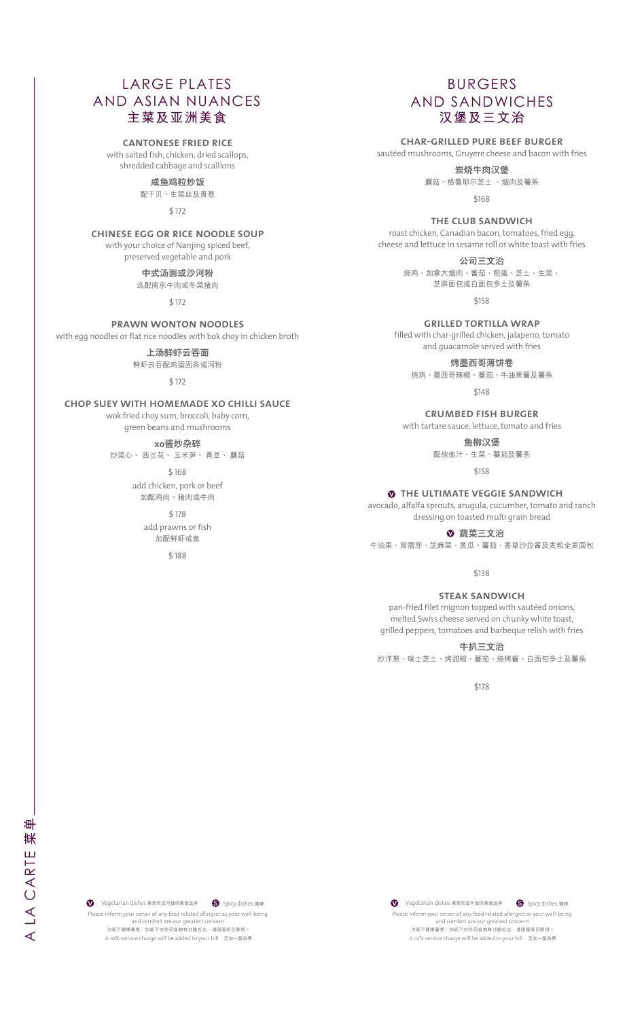# LARGE PLATES AND ASIAN NUANCES **主菜及亞洲美食**

### **cantonese fried rice**

with salted fish, chicken, dried scallops, shredded cabbage and scallions

**鹹魚雞粒炒飯**

配干贝、生菜丝及青葱

\$ 172

### **chinese egg or rice noodle soup**

with your choice of Nanjing spiced beef,

preserved vegetable and pork **中式湯麵或沙河粉** 选配南京牛肉或冬菜猪肉

\$ 172

### **prawn wonton noodles**

with egg noodles or flat rice noodles with bok choy in chicken broth

#### **上汤鲜虾云吞面**

鲜虾云吞配鸡蛋面条或河粉

\$ 172

### **chop suey with homemade xo chilli sauce**

wok fried choy sum, broccoli, baby corn,

green beans and mushrooms

**xo醬炒雜碎**

炒菜心、 西兰花、 玉米笋、 青豆、 蘑菇

\$ 168 add chicken, pork or beef 加配雞肉、豬肉或牛肉

\$ 178

add prawns or fish 加配鲜虾或鱼

\$ 188

# BURGERS AND SANDWICHES **漢堡及三文治**

**char-grilled pure beef burger**

sautéed mushrooms, Gruyere cheese and bacon with fries

**炭烧牛肉汉堡** 

蘑菇、格鲁耶尔芝士 、烟肉及薯条

\$168

**the club sandwich**

roast chicken, Canadian bacon, tomatoes, fried egg, cheese and lettuce in sesame roll or white toast with fries

> **公司三文治** 燒雞、加拿大煙肉、蕃茄、煎蛋、芝士、生菜、 芝麻麵包或白麵包多士及薯條

> > \$158

**grilled tortilla wrap** filled with char-grilled chicken, jalapeno, tomato

and guacamole served with fries

**烤墨西哥薄餅卷**

烧鸡、墨西哥辣椒、蕃茄、牛油果酱及薯条

\$148

**crumbed fish burger**  with tartare sauce, lettuce, tomato and fries

**魚柳漢堡**

配他他汁、生菜、蕃茄及薯條

\$158

 $\bullet$  THE ULTIMATE VEGGIE SANDWICH

avocado, alfalfa sprouts, arugula, cucumber, tomato and ranch dressing on toasted multi grain bread

**蔬菜三文治**

牛油果、苜蓿芽、芝麻菜、黄瓜、蕃茄、香草沙拉酱及麦粒全麦面包

\$138

#### **steak sandwich**

pan-fried filet mignon topped with sautéed onions, melted Swiss cheese served on chunky white toast, grilled peppers, tomatoes and barbeque relish with fries

**牛扒三文治**

炒洋蔥、瑞士芝士、烤甜椒、蕃茄、燒烤醬、白麵包多士及薯條

\$178

A 10% service charge will be added to your bill 另加一服務費 Please inform your server of any food related allergies as your well-being and comfort are our greatest concern. 。<br>为阁下健康著想,如阁下对任何食物有过敏反应,请跟服务员联络。 Vegetarian dishes 素菜類或可提供素食選擇 **S** Spicy dishes 微辣

A 10% service charge will be added to your bill 另加一服務費 Please inform your server of any food related allergies as your well-being and comfort are our greatest concern. 为阁下健康著想,如阁下对任何食物有过敏反应,请跟服务员联络。 Vegetarian dishes 素菜類或可提供素食選擇 **S** Spicy dishes 微辣